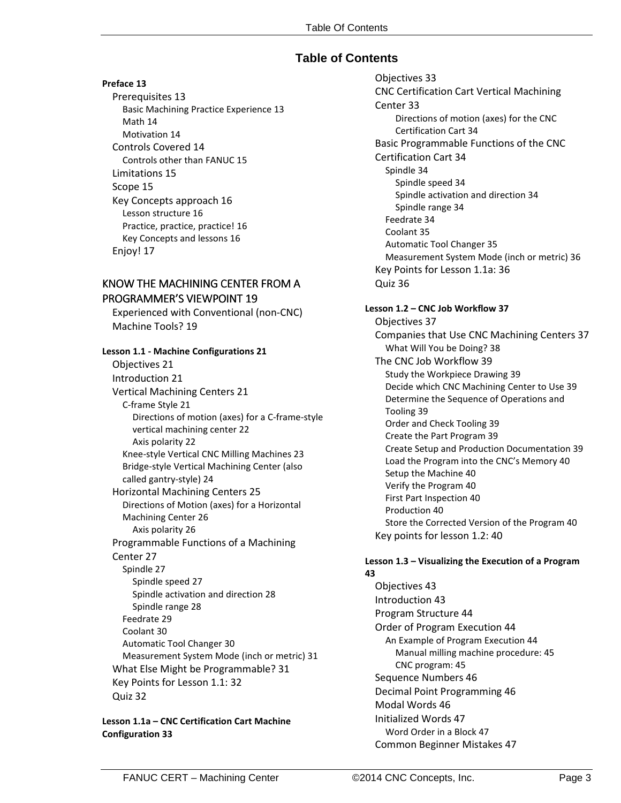# **Table of Contents**

### **Preface 13**

Prerequisites 13 Basic Machining Practice Experience 13 Math 14 Motivation 14 Controls Covered 14 Controls other than FANUC 15 Limitations 15 Scope 15 Key Concepts approach 16 Lesson structure 16 Practice, practice, practice! 16 Key Concepts and lessons 16 Enjoy! 17

# KNOW THE MACHINING CENTER FROM A PROGRAMMER'S VIEWPOINT 19

Experienced with Conventional (non-CNC) Machine Tools? 19

### **Lesson 1.1 - Machine Configurations 21** Objectives 21 Introduction 21 Vertical Machining Centers 21 C-frame Style 21 Directions of motion (axes) for a C-frame-style vertical machining center 22 Axis polarity 22 Knee-style Vertical CNC Milling Machines 23 Bridge-style Vertical Machining Center (also called gantry-style) 24 Horizontal Machining Centers 25 Directions of Motion (axes) for a Horizontal Machining Center 26 Axis polarity 26 Programmable Functions of a Machining Center 27 Spindle 27 Spindle speed 27 Spindle activation and direction 28 Spindle range 28 Feedrate 29 Coolant 30 Automatic Tool Changer 30 Measurement System Mode (inch or metric) 31 What Else Might be Programmable? 31 Key Points for Lesson 1.1: 32 Quiz 32

#### **Lesson 1.1a – CNC Certification Cart Machine Configuration 33**

Objectives 33 CNC Certification Cart Vertical Machining Center 33 Directions of motion (axes) for the CNC Certification Cart 34 Basic Programmable Functions of the CNC Certification Cart 34 Spindle 34 Spindle speed 34 Spindle activation and direction 34 Spindle range 34 Feedrate 34 Coolant 35 Automatic Tool Changer 35 Measurement System Mode (inch or metric) 36 Key Points for Lesson 1.1a: 36 Quiz 36

### **Lesson 1.2 – CNC Job Workflow 37**

Objectives 37 Companies that Use CNC Machining Centers 37 What Will You be Doing? 38 The CNC Job Workflow 39 Study the Workpiece Drawing 39 Decide which CNC Machining Center to Use 39 Determine the Sequence of Operations and Tooling 39 Order and Check Tooling 39 Create the Part Program 39 Create Setup and Production Documentation 39 Load the Program into the CNC's Memory 40 Setup the Machine 40 Verify the Program 40 First Part Inspection 40 Production 40 Store the Corrected Version of the Program 40 Key points for lesson 1.2: 40

#### **Lesson 1.3 – Visualizing the Execution of a Program 43**

Objectives 43 Introduction 43 Program Structure 44 Order of Program Execution 44 An Example of Program Execution 44 Manual milling machine procedure: 45 CNC program: 45 Sequence Numbers 46 Decimal Point Programming 46 Modal Words 46 Initialized Words 47 Word Order in a Block 47 Common Beginner Mistakes 47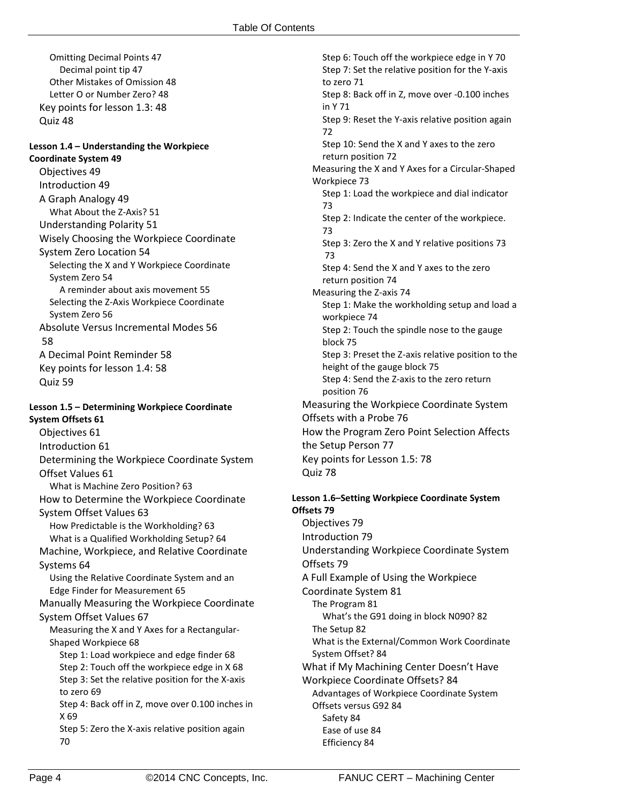Omitting Decimal Points 47 Decimal point tip 47 Other Mistakes of Omission 48 Letter O or Number Zero? 48 Key points for lesson 1.3: 48 Quiz 48

#### **Lesson 1.4 – Understanding the Workpiece Coordinate System 49**

Objectives 49 Introduction 49 A Graph Analogy 49 What About the Z-Axis? 51 Understanding Polarity 51 Wisely Choosing the Workpiece Coordinate System Zero Location 54 Selecting the X and Y Workpiece Coordinate System Zero 54 A reminder about axis movement 55 Selecting the Z-Axis Workpiece Coordinate System Zero 56 Absolute Versus Incremental Modes 56 58 A Decimal Point Reminder 58 Key points for lesson 1.4: 58 Quiz 59

### **Lesson 1.5 – Determining Workpiece Coordinate System Offsets 61**

Objectives 61 Introduction 61 Determining the Workpiece Coordinate System Offset Values 61 What is Machine Zero Position? 63 How to Determine the Workpiece Coordinate System Offset Values 63 How Predictable is the Workholding? 63 What is a Qualified Workholding Setup? 64 Machine, Workpiece, and Relative Coordinate Systems 64 Using the Relative Coordinate System and an Edge Finder for Measurement 65 Manually Measuring the Workpiece Coordinate System Offset Values 67 Measuring the X and Y Axes for a Rectangular-Shaped Workpiece 68 Step 1: Load workpiece and edge finder 68 Step 2: Touch off the workpiece edge in X 68 Step 3: Set the relative position for the X-axis to zero 69 Step 4: Back off in Z, move over 0.100 inches in X 69 Step 5: Zero the X-axis relative position again 70

Step 6: Touch off the workpiece edge in Y 70 Step 7: Set the relative position for the Y-axis to zero 71 Step 8: Back off in Z, move over -0.100 inches in Y 71 Step 9: Reset the Y-axis relative position again 72 Step 10: Send the X and Y axes to the zero return position 72 Measuring the X and Y Axes for a Circular-Shaped Workpiece 73 Step 1: Load the workpiece and dial indicator 73 Step 2: Indicate the center of the workpiece. 73 Step 3: Zero the X and Y relative positions 73 73 Step 4: Send the X and Y axes to the zero return position 74 Measuring the Z-axis 74 Step 1: Make the workholding setup and load a workpiece 74 Step 2: Touch the spindle nose to the gauge block 75 Step 3: Preset the Z-axis relative position to the height of the gauge block 75 Step 4: Send the Z-axis to the zero return position 76 Measuring the Workpiece Coordinate System Offsets with a Probe 76 How the Program Zero Point Selection Affects the Setup Person 77 Key points for Lesson 1.5: 78 Quiz 78

#### **Lesson 1.6–Setting Workpiece Coordinate System Offsets 79**

Objectives 79 Introduction 79 Understanding Workpiece Coordinate System Offsets 79 A Full Example of Using the Workpiece Coordinate System 81 The Program 81 What's the G91 doing in block N090? 82 The Setup 82 What is the External/Common Work Coordinate System Offset? 84 What if My Machining Center Doesn't Have Workpiece Coordinate Offsets? 84 Advantages of Workpiece Coordinate System Offsets versus G92 84 Safety 84 Ease of use 84 Efficiency 84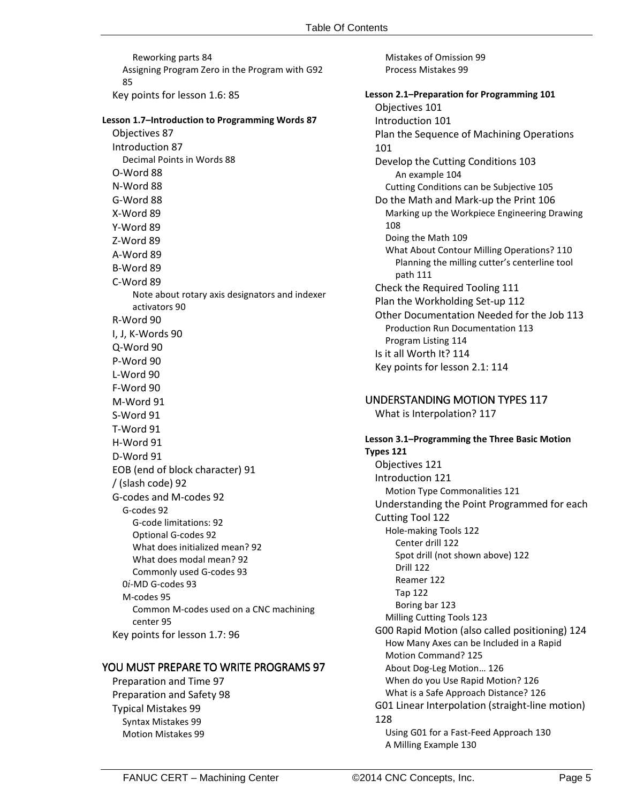Reworking parts 84 Assigning Program Zero in the Program with G92 85 Key points for lesson 1.6: 85

#### **Lesson 1.7–Introduction to Programming Words 87**

Objectives 87 Introduction 87 Decimal Points in Words 88 O-Word 88 N-Word 88 G-Word 88 X-Word 89 Y-Word 89 Z-Word 89 A-Word 89 B-Word 89 C-Word 89 Note about rotary axis designators and indexer activators 90 R-Word 90 I, J, K-Words 90 Q-Word 90 P-Word 90 L-Word 90 F-Word 90 M-Word 91 S-Word 91 T-Word 91 H-Word 91 D-Word 91 EOB (end of block character) 91 / (slash code) 92 G-codes and M-codes 92 G-codes 92 G-code limitations: 92 Optional G-codes 92 What does initialized mean? 92 What does modal mean? 92 Commonly used G-codes 93 0*i*-MD G-codes 93 M-codes 95 Common M-codes used on a CNC machining center 95 Key points for lesson 1.7: 96

#### YOU MUST PREPARE TO WRITE PROGRAMS 97

Preparation and Time 97 Preparation and Safety 98 Typical Mistakes 99 Syntax Mistakes 99 Motion Mistakes 99

Mistakes of Omission 99 Process Mistakes 99

## **Lesson 2.1–Preparation for Programming 101**

Objectives 101 Introduction 101 Plan the Sequence of Machining Operations 101 Develop the Cutting Conditions 103 An example 104 Cutting Conditions can be Subjective 105 Do the Math and Mark-up the Print 106 Marking up the Workpiece Engineering Drawing 108 Doing the Math 109 What About Contour Milling Operations? 110 Planning the milling cutter's centerline tool path 111 Check the Required Tooling 111 Plan the Workholding Set-up 112 Other Documentation Needed for the Job 113 Production Run Documentation 113 Program Listing 114 Is it all Worth It? 114 Key points for lesson 2.1: 114

### UNDERSTANDING MOTION TYPES 117

What is Interpolation? 117

# **Lesson 3.1–Programming the Three Basic Motion**

**Types 121** Objectives 121 Introduction 121 Motion Type Commonalities 121 Understanding the Point Programmed for each Cutting Tool 122 Hole-making Tools 122 Center drill 122 Spot drill (not shown above) 122 Drill 122 Reamer 122 Tap 122 Boring bar 123 Milling Cutting Tools 123 G00 Rapid Motion (also called positioning) 124 How Many Axes can be Included in a Rapid Motion Command? 125 About Dog-Leg Motion… 126 When do you Use Rapid Motion? 126 What is a Safe Approach Distance? 126 G01 Linear Interpolation (straight-line motion) 128 Using G01 for a Fast-Feed Approach 130 A Milling Example 130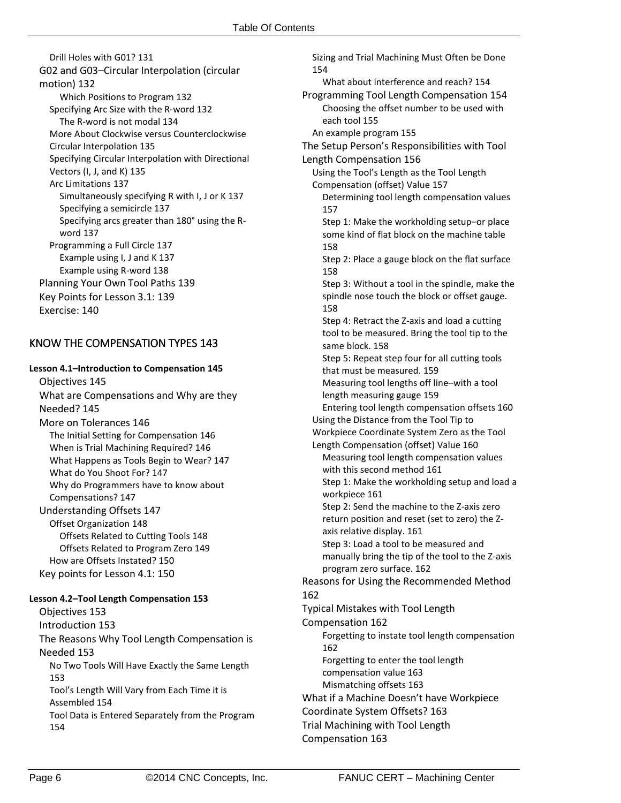Drill Holes with G01? 131 G02 and G03–Circular Interpolation (circular motion) 132 Which Positions to Program 132 Specifying Arc Size with the R-word 132 The R-word is not modal 134 More About Clockwise versus Counterclockwise Circular Interpolation 135 Specifying Circular Interpolation with Directional Vectors (I, J, and K) 135 Arc Limitations 137 Simultaneously specifying R with I, J or K 137 Specifying a semicircle 137 Specifying arcs greater than 180° using the Rword 137 Programming a Full Circle 137 Example using I, J and K 137 Example using R-word 138 Planning Your Own Tool Paths 139 Key Points for Lesson 3.1: 139 Exercise: 140

## KNOW THE COMPENSATION TYPES 143

**Lesson 4.1–Introduction to Compensation 145** Objectives 145 What are Compensations and Why are they Needed? 145 More on Tolerances 146 The Initial Setting for Compensation 146 When is Trial Machining Required? 146 What Happens as Tools Begin to Wear? 147 What do You Shoot For? 147 Why do Programmers have to know about Compensations? 147 Understanding Offsets 147 Offset Organization 148 Offsets Related to Cutting Tools 148 Offsets Related to Program Zero 149 How are Offsets Instated? 150 Key points for Lesson 4.1: 150

#### **Lesson 4.2–Tool Length Compensation 153**

Objectives 153 Introduction 153 The Reasons Why Tool Length Compensation is Needed 153 No Two Tools Will Have Exactly the Same Length 153 Tool's Length Will Vary from Each Time it is Assembled 154 Tool Data is Entered Separately from the Program 154

Sizing and Trial Machining Must Often be Done 154 What about interference and reach? 154 Programming Tool Length Compensation 154 Choosing the offset number to be used with each tool 155 An example program 155 The Setup Person's Responsibilities with Tool Length Compensation 156 Using the Tool's Length as the Tool Length Compensation (offset) Value 157 Determining tool length compensation values 157 Step 1: Make the workholding setup–or place some kind of flat block on the machine table 158 Step 2: Place a gauge block on the flat surface 158 Step 3: Without a tool in the spindle, make the spindle nose touch the block or offset gauge. 158 Step 4: Retract the Z-axis and load a cutting tool to be measured. Bring the tool tip to the same block. 158 Step 5: Repeat step four for all cutting tools that must be measured. 159 Measuring tool lengths off line–with a tool

length measuring gauge 159 Entering tool length compensation offsets 160 Using the Distance from the Tool Tip to Workpiece Coordinate System Zero as the Tool Length Compensation (offset) Value 160 Measuring tool length compensation values with this second method 161 Step 1: Make the workholding setup and load a workpiece 161 Step 2: Send the machine to the Z-axis zero

return position and reset (set to zero) the Zaxis relative display. 161

Step 3: Load a tool to be measured and manually bring the tip of the tool to the Z-axis program zero surface. 162

Reasons for Using the Recommended Method 162

Typical Mistakes with Tool Length Compensation 162 Forgetting to instate tool length compensation 162 Forgetting to enter the tool length

compensation value 163

Mismatching offsets 163 What if a Machine Doesn't have Workpiece Coordinate System Offsets? 163

Trial Machining with Tool Length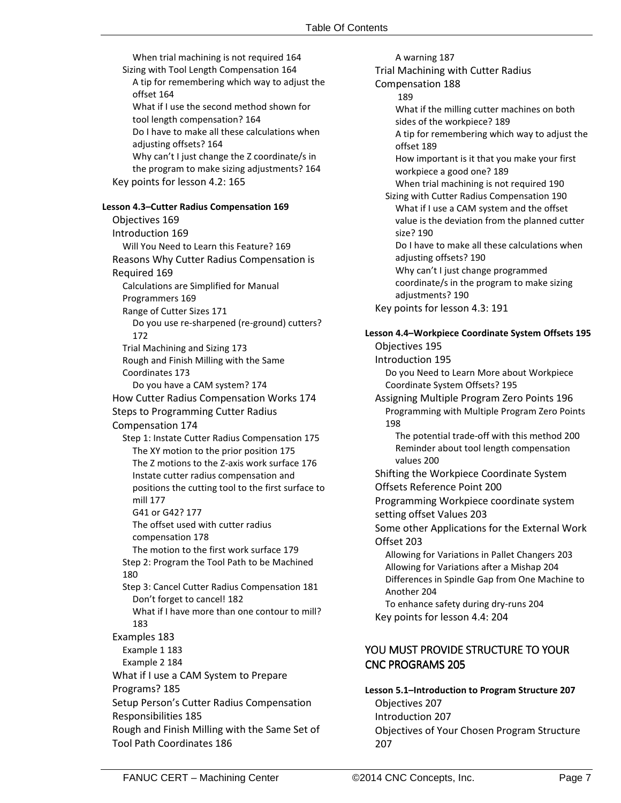| When trial machining is not required 164                                                  | A warning 187                                                |
|-------------------------------------------------------------------------------------------|--------------------------------------------------------------|
| Sizing with Tool Length Compensation 164                                                  | Trial Machining with Cutter Radius                           |
| A tip for remembering which way to adjust the                                             | Compensation 188                                             |
| offset 164                                                                                | 189                                                          |
| What if I use the second method shown for                                                 | What if the milling cutter machines on both                  |
| tool length compensation? 164                                                             | sides of the workpiece? 189                                  |
| Do I have to make all these calculations when                                             | A tip for remembering which way to adjust the                |
| adjusting offsets? 164                                                                    | offset 189                                                   |
| Why can't I just change the Z coordinate/s in                                             | How important is it that you make your first                 |
| the program to make sizing adjustments? 164                                               | workpiece a good one? 189                                    |
| Key points for lesson 4.2: 165                                                            | When trial machining is not required 190                     |
|                                                                                           | Sizing with Cutter Radius Compensation 190                   |
| Lesson 4.3-Cutter Radius Compensation 169                                                 | What if I use a CAM system and the offset                    |
| Objectives 169                                                                            | value is the deviation from the planned cutter               |
| Introduction 169                                                                          | size? 190                                                    |
| Will You Need to Learn this Feature? 169                                                  | Do I have to make all these calculations when                |
| Reasons Why Cutter Radius Compensation is                                                 | adjusting offsets? 190<br>Why can't I just change programmed |
| Required 169                                                                              | coordinate/s in the program to make sizing                   |
| Calculations are Simplified for Manual                                                    | adjustments? 190                                             |
| Programmers 169                                                                           | Key points for lesson 4.3: 191                               |
| Range of Cutter Sizes 171                                                                 |                                                              |
| Do you use re-sharpened (re-ground) cutters?                                              | Lesson 4.4-Workpiece Coordinate System Offsets 195           |
| 172                                                                                       | Objectives 195                                               |
| Trial Machining and Sizing 173                                                            | Introduction 195                                             |
| Rough and Finish Milling with the Same<br>Coordinates 173                                 | Do you Need to Learn More about Workpiece                    |
| Do you have a CAM system? 174                                                             | Coordinate System Offsets? 195                               |
| How Cutter Radius Compensation Works 174                                                  | Assigning Multiple Program Zero Points 196                   |
| <b>Steps to Programming Cutter Radius</b>                                                 | Programming with Multiple Program Zero Points                |
|                                                                                           | 198                                                          |
| Compensation 174                                                                          | The potential trade-off with this method 200                 |
| Step 1: Instate Cutter Radius Compensation 175<br>The XY motion to the prior position 175 | Reminder about tool length compensation                      |
| The Z motions to the Z-axis work surface 176                                              | values 200                                                   |
| Instate cutter radius compensation and                                                    | Shifting the Workpiece Coordinate System                     |
| positions the cutting tool to the first surface to                                        | Offsets Reference Point 200                                  |
| mill 177                                                                                  | Programming Workpiece coordinate system                      |
| G41 or G42? 177                                                                           | setting offset Values 203                                    |
| The offset used with cutter radius                                                        | Some other Applications for the External Work                |
| compensation 178                                                                          | Offset 203                                                   |
| The motion to the first work surface 179                                                  | Allowing for Variations in Pallet Changers 203               |
| Step 2: Program the Tool Path to be Machined                                              | Allowing for Variations after a Mishap 204                   |
| 180                                                                                       | Differences in Spindle Gap from One Machine to               |
| Step 3: Cancel Cutter Radius Compensation 181                                             | Another 204                                                  |
| Don't forget to cancel! 182                                                               | To enhance safety during dry-runs 204                        |
| What if I have more than one contour to mill?                                             | Key points for lesson 4.4: 204                               |
| 183                                                                                       |                                                              |
| Examples 183                                                                              |                                                              |
| Example 1 183                                                                             | YOU MUST PROVIDE STRUCTURE TO YOUR                           |
| Example 2 184                                                                             | <b>CNC PROGRAMS 205</b>                                      |
| What if I use a CAM System to Prepare                                                     |                                                              |
| Programs? 185                                                                             | Lesson 5.1-Introduction to Program Structure 207             |
| Setup Person's Cutter Radius Compensation                                                 | Objectives 207                                               |
| Responsibilities 185                                                                      | Introduction 207                                             |
| Rough and Finish Milling with the Same Set of                                             | Objectives of Your Chosen Program Structure                  |
| <b>Tool Path Coordinates 186</b>                                                          | 207                                                          |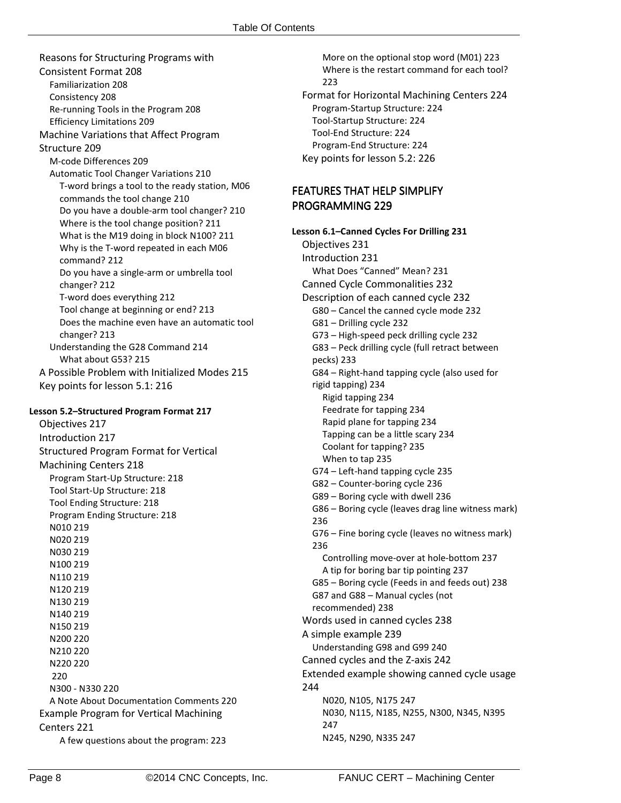Reasons for Structuring Programs with Consistent Format 208 Familiarization 208 Consistency 208 Re-running Tools in the Program 208 Efficiency Limitations 209 Machine Variations that Affect Program Structure 209 M-code Differences 209 Automatic Tool Changer Variations 210 T-word brings a tool to the ready station, M06 commands the tool change 210 Do you have a double-arm tool changer? 210 Where is the tool change position? 211 What is the M19 doing in block N100? 211 Why is the T-word repeated in each M06 command? 212 Do you have a single-arm or umbrella tool changer? 212 T-word does everything 212 Tool change at beginning or end? 213 Does the machine even have an automatic tool changer? 213 Understanding the G28 Command 214 What about G53? 215 A Possible Problem with Initialized Modes 215 Key points for lesson 5.1: 216

#### **Lesson 5.2–Structured Program Format 217**

Objectives 217 Introduction 217 Structured Program Format for Vertical Machining Centers 218 Program Start-Up Structure: 218 Tool Start-Up Structure: 218 Tool Ending Structure: 218 Program Ending Structure: 218 N010 219 N020 219 N030 219 N100 219 N110 219 N120 219 N130 219 N140 219 N150 219 N200 220 N210 220 N220 220 220 N300 - N330 220 A Note About Documentation Comments 220 Example Program for Vertical Machining Centers 221 A few questions about the program: 223

More on the optional stop word (M01) 223 Where is the restart command for each tool? 223 Format for Horizontal Machining Centers 224 Program-Startup Structure: 224 Tool-Startup Structure: 224 Tool-End Structure: 224 Program-End Structure: 224 Key points for lesson 5.2: 226

## **FEATURES THAT HELP SIMPLIFY** PROGRAMMING 229

**Lesson 6.1–Canned Cycles For Drilling 231** Objectives 231 Introduction 231 What Does "Canned" Mean? 231 Canned Cycle Commonalities 232 Description of each canned cycle 232 G80 – Cancel the canned cycle mode 232 G81 – Drilling cycle 232 G73 – High-speed peck drilling cycle 232 G83 – Peck drilling cycle (full retract between pecks) 233 G84 – Right-hand tapping cycle (also used for rigid tapping) 234 Rigid tapping 234 Feedrate for tapping 234 Rapid plane for tapping 234 Tapping can be a little scary 234 Coolant for tapping? 235 When to tap 235 G74 – Left-hand tapping cycle 235 G82 – Counter-boring cycle 236 G89 – Boring cycle with dwell 236 G86 – Boring cycle (leaves drag line witness mark) 236 G76 – Fine boring cycle (leaves no witness mark) 236 Controlling move-over at hole-bottom 237 A tip for boring bar tip pointing 237 G85 – Boring cycle (Feeds in and feeds out) 238 G87 and G88 – Manual cycles (not recommended) 238 Words used in canned cycles 238 A simple example 239 Understanding G98 and G99 240 Canned cycles and the Z-axis 242 Extended example showing canned cycle usage 244 N020, N105, N175 247 N030, N115, N185, N255, N300, N345, N395 247 N245, N290, N335 247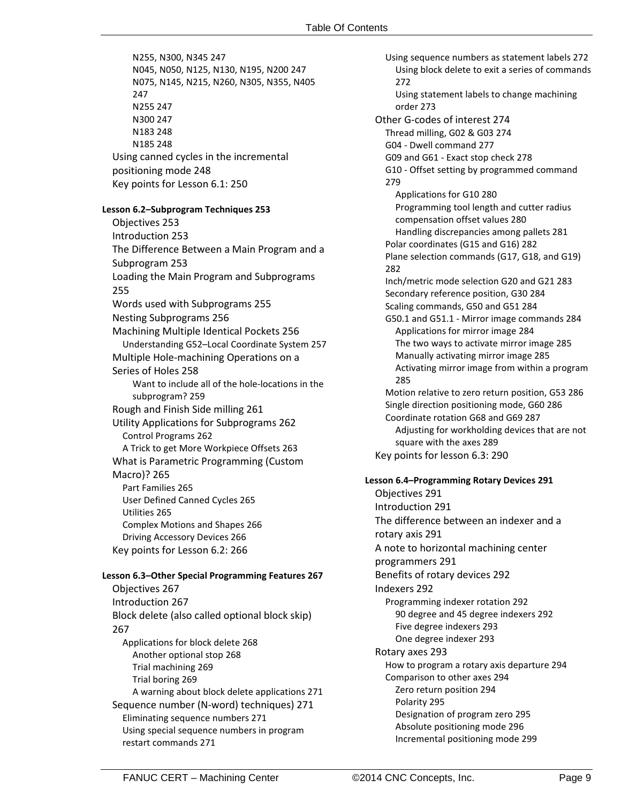N255, N300, N345 247 N045, N050, N125, N130, N195, N200 247 N075, N145, N215, N260, N305, N355, N405 247 N255 247 N300 247 N183 248 N185 248 Using canned cycles in the incremental positioning mode 248 Key points for Lesson 6.1: 250 **Lesson 6.2–Subprogram Techniques 253** Objectives 253 Introduction 253 The Difference Between a Main Program and a Subprogram 253 Loading the Main Program and Subprograms 255 Words used with Subprograms 255 Nesting Subprograms 256 Machining Multiple Identical Pockets 256 Understanding G52–Local Coordinate System 257 Multiple Hole-machining Operations on a Series of Holes 258 Want to include all of the hole-locations in the subprogram? 259 Rough and Finish Side milling 261 Utility Applications for Subprograms 262 Control Programs 262 A Trick to get More Workpiece Offsets 263 What is Parametric Programming (Custom Macro)? 265 Part Families 265 User Defined Canned Cycles 265 Utilities 265 Complex Motions and Shapes 266

# Key points for Lesson 6.2: 266 **Lesson 6.3–Other Special Programming Features 267** Objectives 267 Introduction 267 Block delete (also called optional block skip) 267 Applications for block delete 268 Another optional stop 268 Trial machining 269 Trial boring 269 A warning about block delete applications 271 Sequence number (N-word) techniques) 271 Eliminating sequence numbers 271 Using special sequence numbers in program restart commands 271

Driving Accessory Devices 266

Using sequence numbers as statement labels 272 Using block delete to exit a series of commands 272 Using statement labels to change machining order 273 Other G-codes of interest 274 Thread milling, G02 & G03 274 G04 - Dwell command 277 G09 and G61 - Exact stop check 278 G10 - Offset setting by programmed command 279 Applications for G10 280 Programming tool length and cutter radius compensation offset values 280 Handling discrepancies among pallets 281 Polar coordinates (G15 and G16) 282 Plane selection commands (G17, G18, and G19) 282 Inch/metric mode selection G20 and G21 283 Secondary reference position, G30 284 Scaling commands, G50 and G51 284 G50.1 and G51.1 - Mirror image commands 284 Applications for mirror image 284 The two ways to activate mirror image 285 Manually activating mirror image 285 Activating mirror image from within a program 285 Motion relative to zero return position, G53 286 Single direction positioning mode, G60 286 Coordinate rotation G68 and G69 287 Adjusting for workholding devices that are not square with the axes 289 Key points for lesson 6.3: 290 **Lesson 6.4–Programming Rotary Devices 291** Objectives 291 Introduction 291 The difference between an indexer and a rotary axis 291 A note to horizontal machining center programmers 291 Benefits of rotary devices 292 Indexers 292 Programming indexer rotation 292 90 degree and 45 degree indexers 292 Five degree indexers 293 One degree indexer 293 Rotary axes 293 How to program a rotary axis departure 294 Comparison to other axes 294 Zero return position 294 Polarity 295

Designation of program zero 295 Absolute positioning mode 296 Incremental positioning mode 299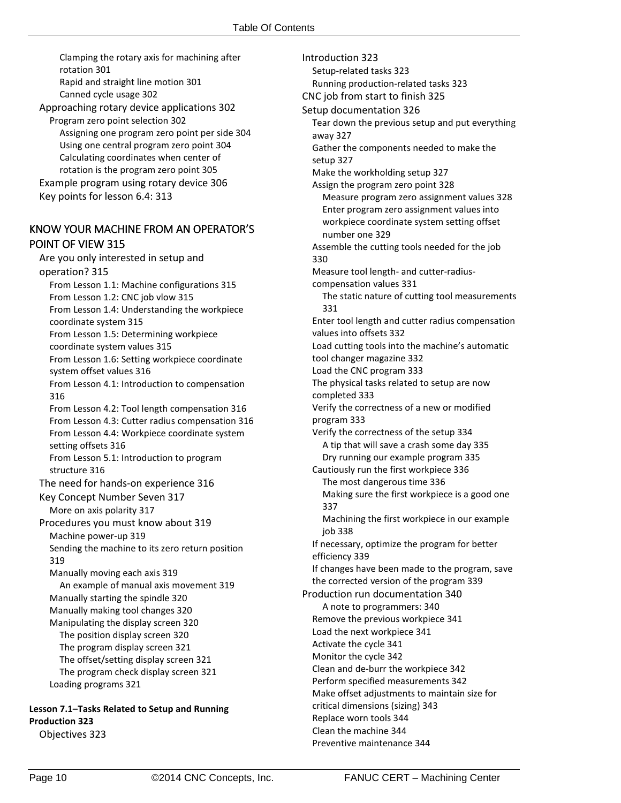Clamping the rotary axis for machining after rotation 301 Rapid and straight line motion 301

Canned cycle usage 302 Approaching rotary device applications 302 Program zero point selection 302 Assigning one program zero point per side 304 Using one central program zero point 304 Calculating coordinates when center of rotation is the program zero point 305 Example program using rotary device 306 Key points for lesson 6.4: 313

## KNOW YOUR MACHINE FROM AN OPERATOR'S POINT OF VIEW 315

Are you only interested in setup and operation? 315 From Lesson 1.1: Machine configurations 315 From Lesson 1.2: CNC job vlow 315 From Lesson 1.4: Understanding the workpiece coordinate system 315 From Lesson 1.5: Determining workpiece coordinate system values 315 From Lesson 1.6: Setting workpiece coordinate system offset values 316 From Lesson 4.1: Introduction to compensation 316 From Lesson 4.2: Tool length compensation 316 From Lesson 4.3: Cutter radius compensation 316 From Lesson 4.4: Workpiece coordinate system setting offsets 316 From Lesson 5.1: Introduction to program structure 316 The need for hands-on experience 316 Key Concept Number Seven 317 More on axis polarity 317 Procedures you must know about 319 Machine power-up 319 Sending the machine to its zero return position 319 Manually moving each axis 319 An example of manual axis movement 319 Manually starting the spindle 320 Manually making tool changes 320 Manipulating the display screen 320 The position display screen 320 The program display screen 321 The offset/setting display screen 321 The program check display screen 321 Loading programs 321

# **Lesson 7.1–Tasks Related to Setup and Running Production 323**

Objectives 323

Introduction 323 Setup-related tasks 323 Running production-related tasks 323 CNC job from start to finish 325 Setup documentation 326 Tear down the previous setup and put everything away 327 Gather the components needed to make the setup 327 Make the workholding setup 327 Assign the program zero point 328 Measure program zero assignment values 328 Enter program zero assignment values into workpiece coordinate system setting offset number one 329 Assemble the cutting tools needed for the job 330 Measure tool length- and cutter-radiuscompensation values 331 The static nature of cutting tool measurements 331 Enter tool length and cutter radius compensation values into offsets 332 Load cutting tools into the machine's automatic tool changer magazine 332 Load the CNC program 333 The physical tasks related to setup are now completed 333 Verify the correctness of a new or modified program 333 Verify the correctness of the setup 334 A tip that will save a crash some day 335 Dry running our example program 335 Cautiously run the first workpiece 336 The most dangerous time 336 Making sure the first workpiece is a good one 337 Machining the first workpiece in our example job 338 If necessary, optimize the program for better efficiency 339 If changes have been made to the program, save the corrected version of the program 339 Production run documentation 340 A note to programmers: 340 Remove the previous workpiece 341 Load the next workpiece 341 Activate the cycle 341 Monitor the cycle 342 Clean and de-burr the workpiece 342 Perform specified measurements 342 Make offset adjustments to maintain size for critical dimensions (sizing) 343 Replace worn tools 344 Clean the machine 344

Preventive maintenance 344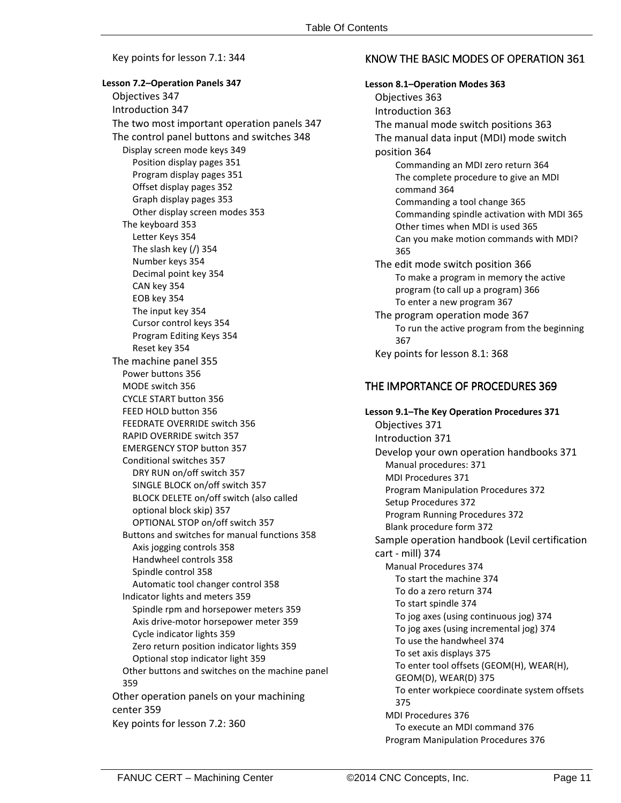Key points for lesson 7.1: 344

**Lesson 7.2–Operation Panels 347** Objectives 347 Introduction 347 The two most important operation panels 347 The control panel buttons and switches 348 Display screen mode keys 349 Position display pages 351 Program display pages 351 Offset display pages 352 Graph display pages 353 Other display screen modes 353 The keyboard 353 Letter Keys 354 The slash key (/) 354 Number keys 354 Decimal point key 354 CAN key 354 EOB key 354 The input key 354 Cursor control keys 354 Program Editing Keys 354 Reset key 354 The machine panel 355 Power buttons 356 MODE switch 356 CYCLE START button 356 FEED HOLD button 356 FEEDRATE OVERRIDE switch 356 RAPID OVERRIDE switch 357 EMERGENCY STOP button 357 Conditional switches 357 DRY RUN on/off switch 357 SINGLE BLOCK on/off switch 357 BLOCK DELETE on/off switch (also called optional block skip) 357 OPTIONAL STOP on/off switch 357 Buttons and switches for manual functions 358 Axis jogging controls 358 Handwheel controls 358 Spindle control 358 Automatic tool changer control 358 Indicator lights and meters 359 Spindle rpm and horsepower meters 359 Axis drive-motor horsepower meter 359 Cycle indicator lights 359 Zero return position indicator lights 359 Optional stop indicator light 359 Other buttons and switches on the machine panel 359 Other operation panels on your machining center 359 Key points for lesson 7.2: 360

## KNOW THE BASIC MODES OF OPERATION 361

**Lesson 8.1–Operation Modes 363** Objectives 363 Introduction 363 The manual mode switch positions 363 The manual data input (MDI) mode switch position 364 Commanding an MDI zero return 364 The complete procedure to give an MDI command 364 Commanding a tool change 365 Commanding spindle activation with MDI 365 Other times when MDI is used 365 Can you make motion commands with MDI? 365 The edit mode switch position 366 To make a program in memory the active program (to call up a program) 366 To enter a new program 367 The program operation mode 367 To run the active program from the beginning 367 Key points for lesson 8.1: 368

#### THE IMPORTANCE OF PROCEDURES 369

**Lesson 9.1–The Key Operation Procedures 371** Objectives 371 Introduction 371 Develop your own operation handbooks 371 Manual procedures: 371 MDI Procedures 371 Program Manipulation Procedures 372 Setup Procedures 372 Program Running Procedures 372 Blank procedure form 372 Sample operation handbook (Levil certification cart - mill) 374 Manual Procedures 374 To start the machine 374 To do a zero return 374 To start spindle 374 To jog axes (using continuous jog) 374 To jog axes (using incremental jog) 374 To use the handwheel 374 To set axis displays 375 To enter tool offsets (GEOM(H), WEAR(H), GEOM(D), WEAR(D) 375 To enter workpiece coordinate system offsets 375 MDI Procedures 376 To execute an MDI command 376 Program Manipulation Procedures 376